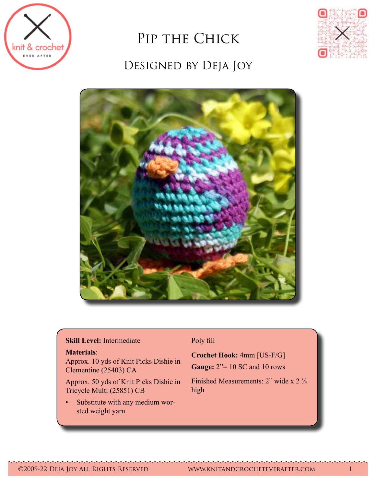

# PIP THE CHICK DESIGNED BY DEJA JOY





#### **Skill Level:** Intermediate

#### **Materials**:

Approx. 10 yds of Knit Picks Dishie in Clementine (25403) CA

Approx. 50 yds of Knit Picks Dishie in Tricycle Multi (25851) CB

• Substitute with any medium worsted weight yarn

# Poly fill

**Crochet Hook:** 4mm [US-F/G]

**Gauge:** 2"= 10 SC and 10 rows

Finished Measurements: 2" wide x 2  $\frac{3}{4}$ high